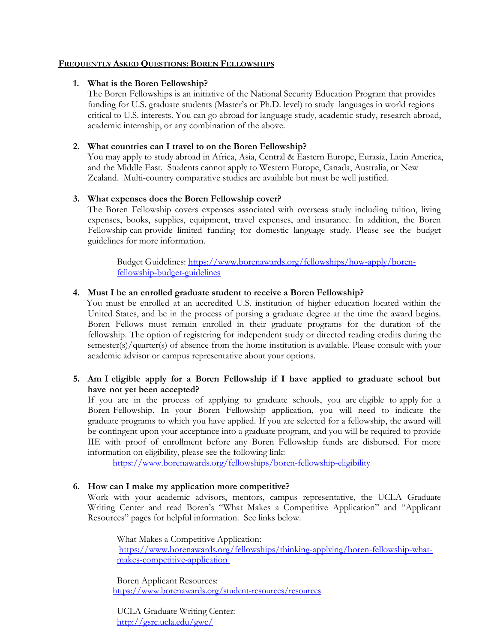#### **FREQUENTLY ASKED QUESTIONS: BOREN FELLOWSHIPS**

#### **1. What is the Boren Fellowship?**

The Boren Fellowships is an initiative of the National Security Education Program that provides funding for U.S. graduate students (Master's or Ph.D. level) to study languages in world regions critical to U.S. interests. You can go abroad for language study, academic study, research abroad, academic internship, or any combination of the above.

#### **2. What countries can I travel to on the Boren Fellowship?**

You may apply to study abroad in Africa, Asia, Central & Eastern Europe, Eurasia, Latin America, and the Middle East. Students cannot apply to Western Europe, Canada, Australia, or New Zealand. Multi-country comparative studies are available but must be well justified.

### **3. What expenses does the Boren Fellowship cover?**

 Fellowship can provide limited funding for domestic language study. Please see the budget The Boren Fellowship covers expenses associated with overseas study including tuition, living expenses, books, supplies, equipment, travel expenses, and insurance. In addition, the Boren guidelines for more information.

Budget Guidelines: [https://www.borenawards.org/fellowships/how-apply/boren](https://www.borenawards.org/fellowships/how-apply/boren-fellowship-budget-guidelines)[fellowship-budget-guidelines](https://www.borenawards.org/fellowships/how-apply/boren-fellowship-budget-guidelines) 

#### **4. Must I be an enrolled graduate student to receive a Boren Fellowship?**

You must be enrolled at an accredited U.S. institution of higher education located within the United States, and be in the process of pursing a graduate degree at the time the award begins. Boren Fellows must remain enrolled in their graduate programs for the duration of the fellowship. The option of registering for independent study or directed reading credits during the semester(s)/quarter(s) of absence from the home institution is available. Please consult with your academic advisor or campus representative about your options.

### **5. Am I eligible apply for a Boren Fellowship if I have applied to graduate school but have not yet been accepted?**

If you are in the process of applying to graduate schools, you are eligible to apply for a Boren Fellowship. In your Boren Fellowship application, you will need to indicate the graduate programs to which you have applied. If you are selected for a fellowship, the award will be contingent upon your acceptance into a graduate program, and you will be required to provide IIE with proof of enrollment before any Boren Fellowship funds are disbursed. For more information on eligibility, please see the following link:

<https://www.borenawards.org/fellowships/boren-fellowship-eligibility>

### **6. How can I make my application more competitive?**

Work with your academic advisors, mentors, campus representative, the UCLA Graduate Writing Center and read Boren's "What Makes a Competitive Application" and "Applicant Resources" pages for helpful information. See links below.

What Makes a Competitive Application: https://www.borenawards.org/fellowships/thinking-applying/boren-fellowship-whatmakes-competitive-application

Boren Applicant Resources: <https://www.borenawards.org/student-resources/resources>

UCLA Graduate Writing Center: <http://gsrc.ucla.edu/gwc/>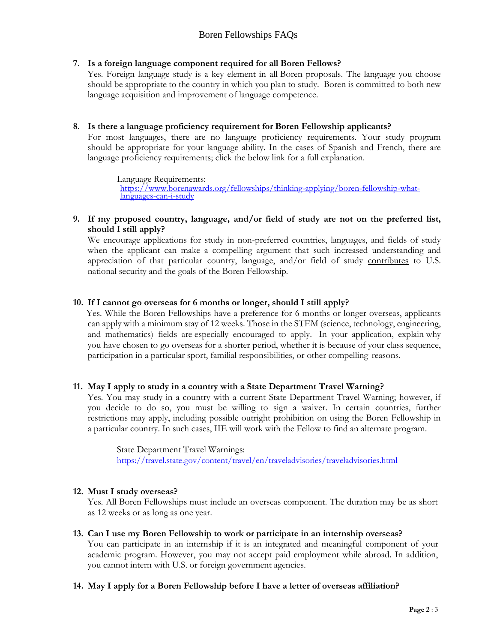## **7. Is a foreign language component required for all Boren Fellows?**

Yes. Foreign language study is a key element in all Boren proposals. The language you choose should be appropriate to the country in which you plan to study. Boren is committed to both new language acquisition and improvement of language competence.

## **8. Is there a language proficiency requirement for Boren Fellowship applicants?**

For most languages, there are no language proficiency requirements. Your study program should be appropriate for your language ability. In the cases of Spanish and French, there are language proficiency requirements; click the below link for a full explanation.

Language Requirements: [https://www.borenawards.org/fellowships/thinking-applying/boren-fellowship-what-](https://www.borenawards.org/fellowships/thinking-applying/boren-fellowship-what-languages-can-i-study) [languages-can-i-study](https://www.borenawards.org/fellowships/thinking-applying/boren-fellowship-what-languages-can-i-study) 

**9. If my proposed country, language, and/or field of study are not on the preferred list, should I still apply?** 

We encourage applications for study in non-preferred countries, languages, and fields of study when the applicant can make a compelling argument that such increased understanding and appreciation of that particular country, language, and/or field of study contributes to U.S. national security and the goals of the Boren Fellowship.

### **10. If I cannot go overseas for 6 months or longer, should I still apply?**

Yes. While the Boren Fellowships have a preference for 6 months or longer overseas, applicants can apply with a minimum stay of 12 weeks. Those in the STEM (science, technology, engineering, and mathematics) fields are especially encouraged to apply. In your application, explain why you have chosen to go overseas for a shorter period, whether it is because of your class sequence, participation in a particular sport, familial responsibilities, or other compelling reasons.

### **11. May I apply to study in a country with a State Department Travel Warning?**

 you decide to do so, you must be willing to sign a waiver. In certain countries, further Yes. You may study in a country with a current State Department Travel Warning; however, if restrictions may apply, including possible outright prohibition on using the Boren Fellowship in a particular country. In such cases, IIE will work with the Fellow to find an alternate program.

State Department Travel Warnings: <https://travel.state.gov/content/travel/en/traveladvisories/traveladvisories.html>

# **12. Must I study overseas?**

Yes. All Boren Fellowships must include an overseas component. The duration may be as short as 12 weeks or as long as one year.

### **13. Can I use my Boren Fellowship to work or participate in an internship overseas?**

You can participate in an internship if it is an integrated and meaningful component of your academic program. However, you may not accept paid employment while abroad. In addition, you cannot intern with U.S. or foreign government agencies.

### **14. May I apply for a Boren Fellowship before I have a letter of overseas affiliation?**